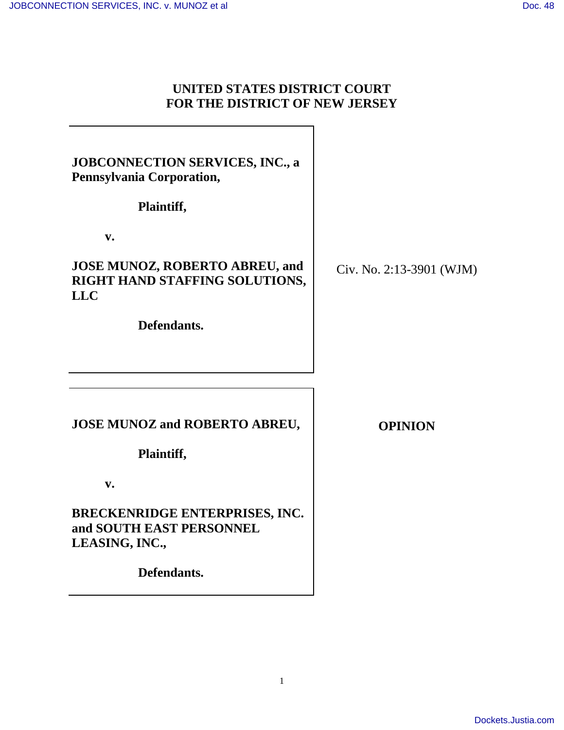# **UNITED STATES DISTRICT COURT FOR THE DISTRICT OF NEW JERSEY**

| <b>JOBCONNECTION SERVICES, INC., a</b><br>Pennsylvania Corporation,<br>Plaintiff,<br>$V_{\bullet}$<br><b>JOSE MUNOZ, ROBERTO ABREU, and</b><br>RIGHT HAND STAFFING SOLUTIONS,<br><b>LLC</b> | Civ. No. 2:13-3901 (WJM) |
|---------------------------------------------------------------------------------------------------------------------------------------------------------------------------------------------|--------------------------|
| Defendants.                                                                                                                                                                                 |                          |
| <b>JOSE MUNOZ and ROBERTO ABREU,</b><br>Plaintiff,                                                                                                                                          | <b>OPINION</b>           |
| $V_{\bullet}$<br><b>BRECKENRIDGE ENTERPRISES, INC.</b><br>and SOUTH EAST PERSONNEL<br>LEASING, INC.,<br>Defendants.                                                                         |                          |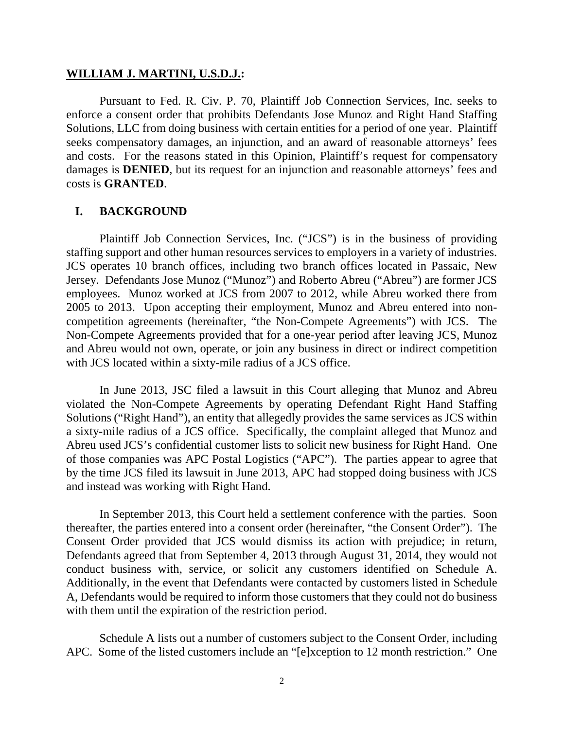#### **WILLIAM J. MARTINI, U.S.D.J.:**

Pursuant to Fed. R. Civ. P. 70, Plaintiff Job Connection Services, Inc. seeks to enforce a consent order that prohibits Defendants Jose Munoz and Right Hand Staffing Solutions, LLC from doing business with certain entities for a period of one year. Plaintiff seeks compensatory damages, an injunction, and an award of reasonable attorneys' fees and costs. For the reasons stated in this Opinion, Plaintiff's request for compensatory damages is **DENIED**, but its request for an injunction and reasonable attorneys' fees and costs is **GRANTED**.

## **I. BACKGROUND**

Plaintiff Job Connection Services, Inc. ("JCS") is in the business of providing staffing support and other human resources services to employers in a variety of industries. JCS operates 10 branch offices, including two branch offices located in Passaic, New Jersey. Defendants Jose Munoz ("Munoz") and Roberto Abreu ("Abreu") are former JCS employees. Munoz worked at JCS from 2007 to 2012, while Abreu worked there from 2005 to 2013. Upon accepting their employment, Munoz and Abreu entered into noncompetition agreements (hereinafter, "the Non-Compete Agreements") with JCS. The Non-Compete Agreements provided that for a one-year period after leaving JCS, Munoz and Abreu would not own, operate, or join any business in direct or indirect competition with JCS located within a sixty-mile radius of a JCS office.

In June 2013, JSC filed a lawsuit in this Court alleging that Munoz and Abreu violated the Non-Compete Agreements by operating Defendant Right Hand Staffing Solutions ("Right Hand"), an entity that allegedly provides the same services as JCS within a sixty-mile radius of a JCS office. Specifically, the complaint alleged that Munoz and Abreu used JCS's confidential customer lists to solicit new business for Right Hand. One of those companies was APC Postal Logistics ("APC"). The parties appear to agree that by the time JCS filed its lawsuit in June 2013, APC had stopped doing business with JCS and instead was working with Right Hand.

In September 2013, this Court held a settlement conference with the parties. Soon thereafter, the parties entered into a consent order (hereinafter, "the Consent Order"). The Consent Order provided that JCS would dismiss its action with prejudice; in return, Defendants agreed that from September 4, 2013 through August 31, 2014, they would not conduct business with, service, or solicit any customers identified on Schedule A. Additionally, in the event that Defendants were contacted by customers listed in Schedule A, Defendants would be required to inform those customers that they could not do business with them until the expiration of the restriction period.

Schedule A lists out a number of customers subject to the Consent Order, including APC. Some of the listed customers include an "[e]xception to 12 month restriction." One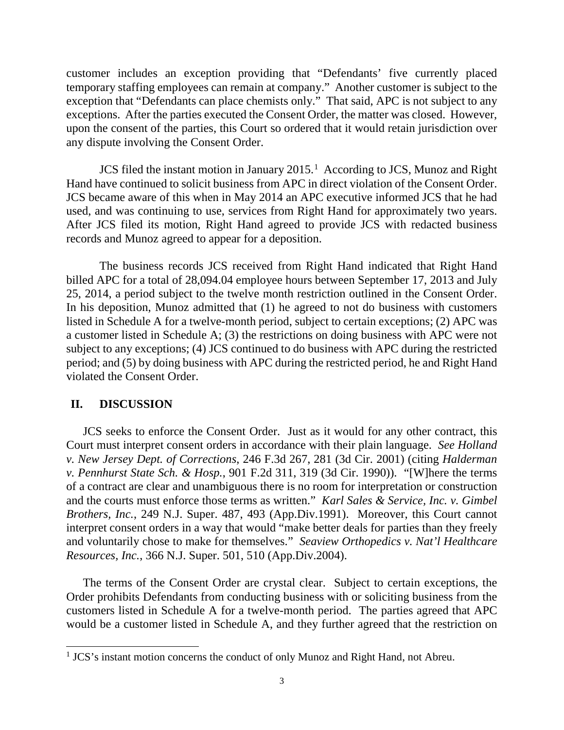customer includes an exception providing that "Defendants' five currently placed temporary staffing employees can remain at company." Another customer is subject to the exception that "Defendants can place chemists only." That said, APC is not subject to any exceptions. After the parties executed the Consent Order, the matter was closed. However, upon the consent of the parties, this Court so ordered that it would retain jurisdiction over any dispute involving the Consent Order.

JCS filed the instant motion in January 20[1](#page-2-0)5.<sup>1</sup> According to JCS, Munoz and Right Hand have continued to solicit business from APC in direct violation of the Consent Order. JCS became aware of this when in May 2014 an APC executive informed JCS that he had used, and was continuing to use, services from Right Hand for approximately two years. After JCS filed its motion, Right Hand agreed to provide JCS with redacted business records and Munoz agreed to appear for a deposition.

The business records JCS received from Right Hand indicated that Right Hand billed APC for a total of 28,094.04 employee hours between September 17, 2013 and July 25, 2014, a period subject to the twelve month restriction outlined in the Consent Order. In his deposition, Munoz admitted that (1) he agreed to not do business with customers listed in Schedule A for a twelve-month period, subject to certain exceptions; (2) APC was a customer listed in Schedule A; (3) the restrictions on doing business with APC were not subject to any exceptions; (4) JCS continued to do business with APC during the restricted period; and (5) by doing business with APC during the restricted period, he and Right Hand violated the Consent Order.

#### **II. DISCUSSION**

-

JCS seeks to enforce the Consent Order. Just as it would for any other contract, this Court must interpret consent orders in accordance with their plain language. *See Holland v. New Jersey Dept. of Corrections*, 246 F.3d 267, 281 (3d Cir. 2001) (citing *Halderman v. Pennhurst State Sch. & Hosp.*, 901 F.2d 311, 319 (3d Cir. 1990)). "[W]here the terms of a contract are clear and unambiguous there is no room for interpretation or construction and the courts must enforce those terms as written." *Karl Sales & Service, Inc. v. Gimbel Brothers, Inc.*, 249 N.J. Super. 487, 493 (App.Div.1991). Moreover, this Court cannot interpret consent orders in a way that would "make better deals for parties than they freely and voluntarily chose to make for themselves." *Seaview Orthopedics v. Nat'l Healthcare Resources, Inc.*, 366 N.J. Super. 501, 510 (App.Div.2004).

The terms of the Consent Order are crystal clear. Subject to certain exceptions, the Order prohibits Defendants from conducting business with or soliciting business from the customers listed in Schedule A for a twelve-month period. The parties agreed that APC would be a customer listed in Schedule A, and they further agreed that the restriction on

<span id="page-2-0"></span><sup>&</sup>lt;sup>1</sup> JCS's instant motion concerns the conduct of only Munoz and Right Hand, not Abreu.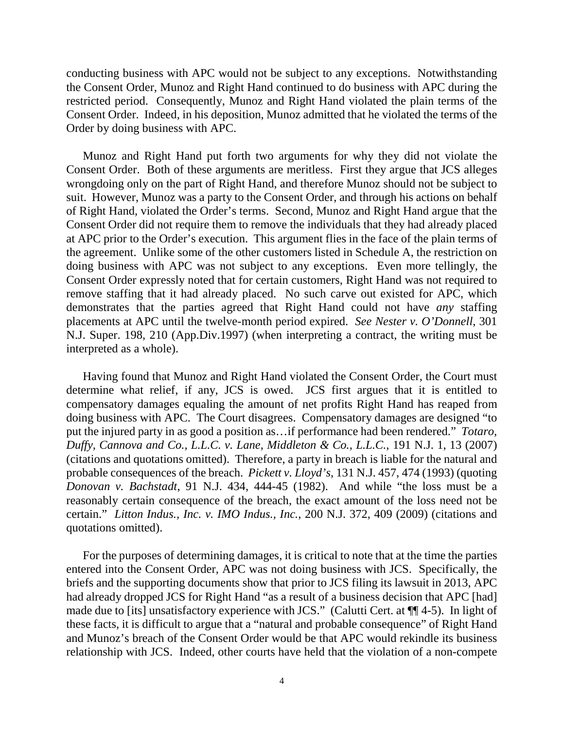conducting business with APC would not be subject to any exceptions. Notwithstanding the Consent Order, Munoz and Right Hand continued to do business with APC during the restricted period. Consequently, Munoz and Right Hand violated the plain terms of the Consent Order. Indeed, in his deposition, Munoz admitted that he violated the terms of the Order by doing business with APC.

Munoz and Right Hand put forth two arguments for why they did not violate the Consent Order. Both of these arguments are meritless. First they argue that JCS alleges wrongdoing only on the part of Right Hand, and therefore Munoz should not be subject to suit. However, Munoz was a party to the Consent Order, and through his actions on behalf of Right Hand, violated the Order's terms. Second, Munoz and Right Hand argue that the Consent Order did not require them to remove the individuals that they had already placed at APC prior to the Order's execution. This argument flies in the face of the plain terms of the agreement. Unlike some of the other customers listed in Schedule A, the restriction on doing business with APC was not subject to any exceptions. Even more tellingly, the Consent Order expressly noted that for certain customers, Right Hand was not required to remove staffing that it had already placed. No such carve out existed for APC, which demonstrates that the parties agreed that Right Hand could not have *any* staffing placements at APC until the twelve-month period expired. *See Nester v. O'Donnell*, 301 N.J. Super. 198, 210 (App.Div.1997) (when interpreting a contract, the writing must be interpreted as a whole).

Having found that Munoz and Right Hand violated the Consent Order, the Court must determine what relief, if any, JCS is owed. JCS first argues that it is entitled to compensatory damages equaling the amount of net profits Right Hand has reaped from doing business with APC. The Court disagrees. Compensatory damages are designed "to put the injured party in as good a position as…if performance had been rendered." *Totaro, Duffy, Cannova and Co., L.L.C. v. Lane, Middleton & Co., L.L.C.,* 191 N.J. 1, 13 (2007) (citations and quotations omitted). Therefore, a party in breach is liable for the natural and probable consequences of the breach. *Pickett v. Lloyd's*, 131 N.J. 457, 474 (1993) (quoting *Donovan v. Bachstadt*, 91 N.J. 434, 444-45 (1982). And while "the loss must be a reasonably certain consequence of the breach, the exact amount of the loss need not be certain." *Litton Indus., Inc. v. IMO Indus., Inc.*, 200 N.J. 372, 409 (2009) (citations and quotations omitted).

For the purposes of determining damages, it is critical to note that at the time the parties entered into the Consent Order, APC was not doing business with JCS. Specifically, the briefs and the supporting documents show that prior to JCS filing its lawsuit in 2013, APC had already dropped JCS for Right Hand "as a result of a business decision that APC [had] made due to [its] unsatisfactory experience with JCS." (Calutti Cert. at ¶¶ 4-5). In light of these facts, it is difficult to argue that a "natural and probable consequence" of Right Hand and Munoz's breach of the Consent Order would be that APC would rekindle its business relationship with JCS. Indeed, other courts have held that the violation of a non-compete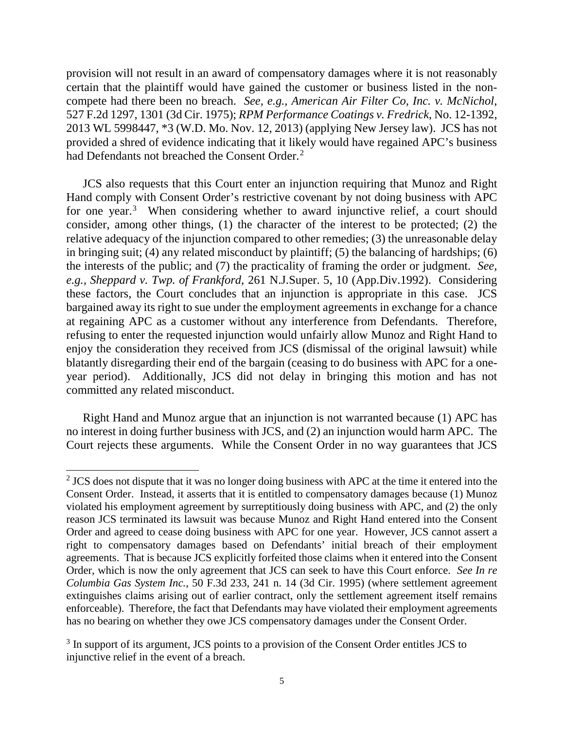provision will not result in an award of compensatory damages where it is not reasonably certain that the plaintiff would have gained the customer or business listed in the noncompete had there been no breach. *See, e.g., American Air Filter Co, Inc. v. McNichol*, 527 F.2d 1297, 1301 (3d Cir. 1975); *RPM Performance Coatings v. Fredrick*, No. 12-1392, 2013 WL 5998447, \*3 (W.D. Mo. Nov. 12, 2013) (applying New Jersey law). JCS has not provided a shred of evidence indicating that it likely would have regained APC's business had Defendants not breached the Consent Order.<sup>[2](#page-4-0)</sup>

JCS also requests that this Court enter an injunction requiring that Munoz and Right Hand comply with Consent Order's restrictive covenant by not doing business with APC for one year.<sup>[3](#page-4-1)</sup> When considering whether to award injunctive relief, a court should consider, among other things, (1) the character of the interest to be protected; (2) the relative adequacy of the injunction compared to other remedies; (3) the unreasonable delay in bringing suit; (4) any related misconduct by plaintiff; (5) the balancing of hardships; (6) the interests of the public; and (7) the practicality of framing the order or judgment. *See, e.g., Sheppard v. Twp. of Frankford*, 261 N.J.Super. 5, 10 (App.Div.1992). Considering these factors, the Court concludes that an injunction is appropriate in this case. JCS bargained away its right to sue under the employment agreements in exchange for a chance at regaining APC as a customer without any interference from Defendants. Therefore, refusing to enter the requested injunction would unfairly allow Munoz and Right Hand to enjoy the consideration they received from JCS (dismissal of the original lawsuit) while blatantly disregarding their end of the bargain (ceasing to do business with APC for a oneyear period). Additionally, JCS did not delay in bringing this motion and has not committed any related misconduct.

Right Hand and Munoz argue that an injunction is not warranted because (1) APC has no interest in doing further business with JCS, and (2) an injunction would harm APC. The Court rejects these arguments. While the Consent Order in no way guarantees that JCS

 $\overline{a}$ 

<span id="page-4-0"></span> $2$  JCS does not dispute that it was no longer doing business with APC at the time it entered into the Consent Order. Instead, it asserts that it is entitled to compensatory damages because (1) Munoz violated his employment agreement by surreptitiously doing business with APC, and (2) the only reason JCS terminated its lawsuit was because Munoz and Right Hand entered into the Consent Order and agreed to cease doing business with APC for one year. However, JCS cannot assert a right to compensatory damages based on Defendants' initial breach of their employment agreements. That is because JCS explicitly forfeited those claims when it entered into the Consent Order, which is now the only agreement that JCS can seek to have this Court enforce. *See In re Columbia Gas System Inc.*, 50 F.3d 233, 241 n. 14 (3d Cir. 1995) (where settlement agreement extinguishes claims arising out of earlier contract, only the settlement agreement itself remains enforceable). Therefore, the fact that Defendants may have violated their employment agreements has no bearing on whether they owe JCS compensatory damages under the Consent Order.

<span id="page-4-1"></span><sup>&</sup>lt;sup>3</sup> In support of its argument, JCS points to a provision of the Consent Order entitles JCS to injunctive relief in the event of a breach.